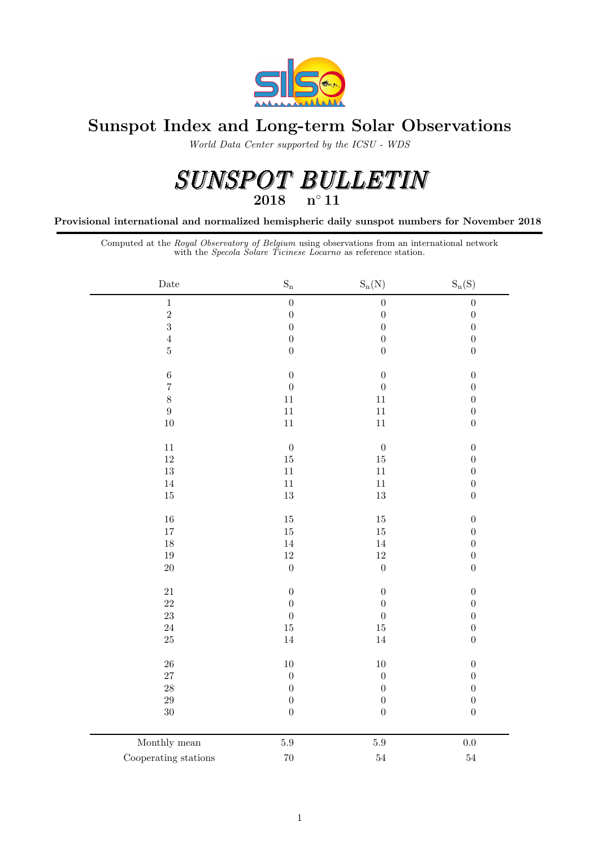

## Sunspot Index and Long-term Solar Observations

World Data Center supported by the ICSU - WDS

# $\begin{array}{lllll} SUMSPOT & BULLETIN \\ \textcolor{red}{2018} \text{\quad n°11} \end{array}$

Provisional international and normalized hemispheric daily sunspot numbers for November 2018

Computed at the Royal Observatory of Belgium using observations from an international network with the Specola Solare Ticinese Locarno as reference station.

| $\rm{Date}$          | $\mathrm{S}_\mathrm{n}$ | $S_n(N)$         | $S_n(S)$         |
|----------------------|-------------------------|------------------|------------------|
| $\,1$                | $\boldsymbol{0}$        | $\boldsymbol{0}$ | $\boldsymbol{0}$ |
| $\overline{2}$       | $\boldsymbol{0}$        | $\boldsymbol{0}$ | $\overline{0}$   |
| $\overline{3}$       | $\boldsymbol{0}$        | $\overline{0}$   | $\overline{0}$   |
| $\sqrt{4}$           | $\boldsymbol{0}$        | $\boldsymbol{0}$ | $\overline{0}$   |
| $\bf 5$              | $\boldsymbol{0}$        | $\boldsymbol{0}$ | $\overline{0}$   |
| $\,6$                | $\boldsymbol{0}$        | $\boldsymbol{0}$ | $\boldsymbol{0}$ |
| $\overline{7}$       | $\boldsymbol{0}$        | $\boldsymbol{0}$ | $\boldsymbol{0}$ |
| $\,8\,$              | $11\,$                  | $11\,$           | $\overline{0}$   |
| $\boldsymbol{9}$     | $11\,$                  | 11               | $\boldsymbol{0}$ |
| $10\,$               | $11\,$                  | $11\,$           | $\boldsymbol{0}$ |
|                      |                         |                  |                  |
| $11\,$               | $\boldsymbol{0}$        | $\boldsymbol{0}$ | $\boldsymbol{0}$ |
| $12\,$               | $15\,$                  | $15\,$           | $\overline{0}$   |
| $13\,$               | $11\,$                  | $11\,$           | $\overline{0}$   |
| $14\,$               | $11\,$                  | $11\,$           | $\overline{0}$   |
| $15\,$               | $13\,$                  | $13\,$           | $\overline{0}$   |
| $16\,$               | $15\,$                  | $15\,$           | $\overline{0}$   |
| $17\,$               | $15\,$                  | $15\,$           | $\overline{0}$   |
| $18\,$               | $14\,$                  | $14\,$           | $\overline{0}$   |
| $19\,$               | $12\,$                  | $12\,$           | $\boldsymbol{0}$ |
| $20\,$               | $\boldsymbol{0}$        | $\boldsymbol{0}$ | $\boldsymbol{0}$ |
|                      |                         |                  |                  |
| $21\,$               | $\boldsymbol{0}$        | $\boldsymbol{0}$ | $\overline{0}$   |
| $22\,$               | $\boldsymbol{0}$        | $\boldsymbol{0}$ | $\boldsymbol{0}$ |
| $23\,$               | $\boldsymbol{0}$        | $\boldsymbol{0}$ | $\overline{0}$   |
| $24\,$               | $15\,$                  | $15\,$           | $\boldsymbol{0}$ |
| $25\,$               | $14\,$                  | 14               | $\boldsymbol{0}$ |
| ${\bf 26}$           | $10\,$                  | $10\,$           | $\boldsymbol{0}$ |
| $27\,$               | $\boldsymbol{0}$        | $\boldsymbol{0}$ | $\boldsymbol{0}$ |
| $28\,$               | $\boldsymbol{0}$        | $\boldsymbol{0}$ | $\boldsymbol{0}$ |
| $\rm 29$             | $\boldsymbol{0}$        | $\boldsymbol{0}$ | $\boldsymbol{0}$ |
| $30\,$               | $\boldsymbol{0}$        | $\boldsymbol{0}$ | $\overline{0}$   |
|                      |                         |                  |                  |
| Monthly mean         | $5.9\,$                 | $5.9\,$          | 0.0              |
| Cooperating stations | $70\,$                  | $54\,$           | $\sqrt{54}$      |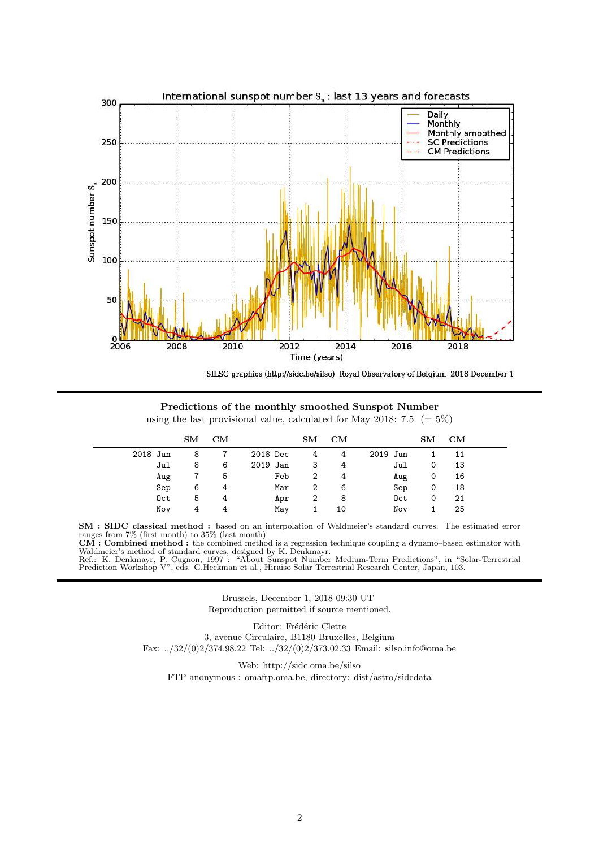

SILSO graphics (http://sidc.be/silso) Royal Observatory of Belgium 2018 December 1

Predictions of the monthly smoothed Sunspot Number using the last provisional value, calculated for May 2018: 7.5 ( $\pm$  5%)

|          | $\mathbf{S}\mathbf{M}$ | CM |          | $\mathbf{S} \mathbf{M}$ | CM |          | SM | CM |  |
|----------|------------------------|----|----------|-------------------------|----|----------|----|----|--|
| 2018 Jun | 8                      |    | 2018 Dec | 4                       | 4  | 2019 Jun |    | 11 |  |
| Jul      | 8                      | 6  | 2019 Jan | 3                       | 4  | Jul      | 0  | 13 |  |
| Aug      | 7                      | 5  | Feb      | 2                       | 4  | Aug      | 0  | 16 |  |
| Sep      | 6                      | 4  | Mar      | 2                       | 6  | Sep      | 0  | 18 |  |
| Oct      | 5                      | 4  | Apr      | 2                       | 8  | Oct      | 0  | 21 |  |
| Nov      | 4                      | 4  | May      |                         | 10 | Nov      |    | 25 |  |

SM : SIDC classical method : based on an interpolation of Waldmeier's standard curves. The estimated error ranges from 7% (first month) to 35% (last month)

CM : Combined method : the combined method is a regression technique coupling a dynamo–based estimator with Waldmeier's method of standard curves, designed by K. Denkmayr.

Ref.: K. Denkmayr, P. Cugnon, 1997 : "About Sunspot Number Medium-Term Predictions", in "Solar-Terrestrial Prediction Workshop V", eds. G.Heckman et al., Hiraiso Solar Terrestrial Research Center, Japan, 103.

> Brussels, December 1, 2018 09:30 UT Reproduction permitted if source mentioned.

Editor: Frédéric Clette 3, avenue Circulaire, B1180 Bruxelles, Belgium Fax: ../32/(0)2/374.98.22 Tel: ../32/(0)2/373.02.33 Email: silso.info@oma.be

Web: http://sidc.oma.be/silso FTP anonymous : omaftp.oma.be, directory: dist/astro/sidcdata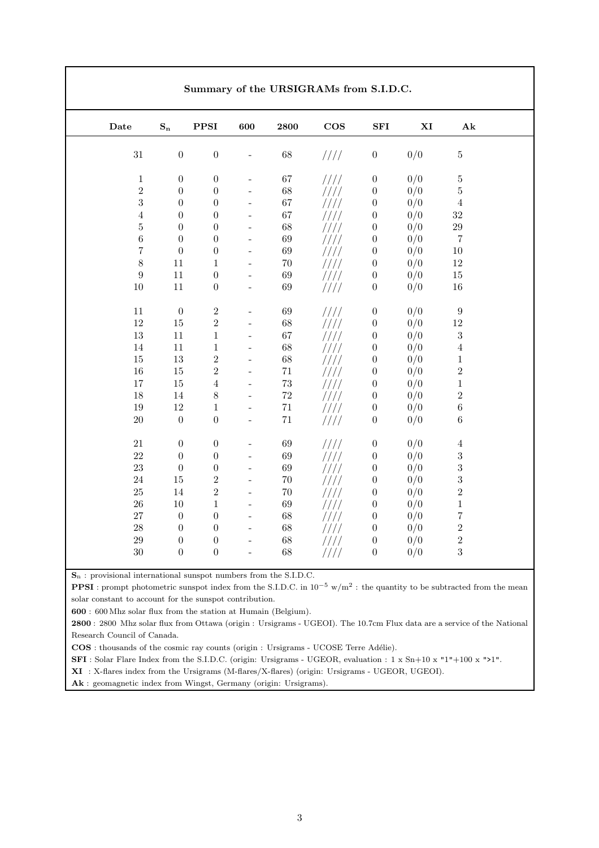|                  |                  |                  |                          | Summary of the URSIGRAMs from S.I.D.C. |        |                  |     |                         |
|------------------|------------------|------------------|--------------------------|----------------------------------------|--------|------------------|-----|-------------------------|
| Date             | $\mathbf{S_{n}}$ | <b>PPSI</b>      | 600                      | 2800                                   | $\cos$ | SFI              | XI  | $\mathbf{A} \mathbf{k}$ |
| $31\,$           | $\boldsymbol{0}$ | $\boldsymbol{0}$ |                          | $68\,$                                 | 1111   | $\boldsymbol{0}$ | 0/0 | $\bf 5$                 |
| $\,1$            | $\boldsymbol{0}$ | $\boldsymbol{0}$ |                          | 67                                     | 1111   | $\boldsymbol{0}$ | 0/0 | $\bf 5$                 |
| $\sqrt{2}$       | $\theta$         | $\overline{0}$   | $\overline{\phantom{a}}$ | $68\,$                                 | ////   | $\boldsymbol{0}$ | 0/0 | $\bf 5$                 |
| $\sqrt{3}$       | $\theta$         | $\boldsymbol{0}$ | $\overline{\phantom{a}}$ | 67                                     | ////   | $\boldsymbol{0}$ | 0/0 | $\sqrt{4}$              |
| $\,4\,$          | $\boldsymbol{0}$ | $\boldsymbol{0}$ |                          | 67                                     | ////   | $\boldsymbol{0}$ | 0/0 | $32\,$                  |
| $\bf 5$          | $\boldsymbol{0}$ | $\boldsymbol{0}$ |                          | $68\,$                                 | ////   | $\boldsymbol{0}$ | 0/0 | $\,29$                  |
| $\,6\,$          | $\boldsymbol{0}$ | $\boldsymbol{0}$ | $\overline{a}$           | $69\,$                                 | ////   | $\boldsymbol{0}$ | 0/0 | $\overline{7}$          |
| $\,7$            | $\boldsymbol{0}$ | $\boldsymbol{0}$ | $\bar{\phantom{a}}$      | $69\,$                                 | ////   | $\boldsymbol{0}$ | 0/0 | $10\,$                  |
| $\,8\,$          | 11               | $\mathbf{1}$     | $\overline{\phantom{a}}$ | $70\,$                                 | ////   | $\boldsymbol{0}$ | 0/0 | 12                      |
| $\boldsymbol{9}$ | $11\,$           | $\boldsymbol{0}$ | $\qquad \qquad -$        | $69\,$                                 | ////   | $\boldsymbol{0}$ | 0/0 | $15\,$                  |
| $10\,$           | $11\,$           | $\boldsymbol{0}$ |                          | $69\,$                                 | ////   | $\boldsymbol{0}$ | 0/0 | $16\,$                  |
| $11\,$           | $\boldsymbol{0}$ | $\sqrt{2}$       |                          | 69                                     | 1111   | $\boldsymbol{0}$ | 0/0 | $\boldsymbol{9}$        |
| $12\,$           | $15\,$           | $\overline{2}$   |                          | $68\,$                                 | 1111   | $\boldsymbol{0}$ | 0/0 | $12\,$                  |
| $13\,$           | 11               | $\,1\,$          | $\overline{\phantom{a}}$ | 67                                     | ////   | $\boldsymbol{0}$ | 0/0 | $\sqrt{3}$              |
| $14\,$           | $11\,$           | $\,1\,$          |                          | $68\,$                                 | ////   | $\boldsymbol{0}$ | 0/0 | $\overline{4}$          |
| $15\,$           | 13               | $\sqrt{2}$       |                          | $68\,$                                 | ////   | $\boldsymbol{0}$ | 0/0 | $\mathbf{1}$            |
| 16               | $15\,$           | $\sqrt{2}$       | $\overline{\phantom{0}}$ | $71\,$                                 | ////   | $\boldsymbol{0}$ | 0/0 | $\sqrt{2}$              |
| $17\,$           | $15\,$           | $\bf 4$          | $\qquad \qquad -$        | $73\,$                                 | ////   | $\boldsymbol{0}$ | 0/0 | $\mathbf{1}$            |
| $18\,$           | $14\,$           | 8                | $\frac{1}{2}$            | $72\,$                                 | ////   | $\boldsymbol{0}$ | 0/0 | $\,2$                   |
| $19\,$           | $12\,$           | $\,1\,$          | $\qquad \qquad -$        | $71\,$                                 | ////   | $\boldsymbol{0}$ | 0/0 | $\,6\,$                 |
| $20\,$           | $\boldsymbol{0}$ | $\boldsymbol{0}$ | $\frac{1}{2}$            | $71\,$                                 | 1111   | $\boldsymbol{0}$ | 0/0 | $\,6\,$                 |
| $21\,$           | $\boldsymbol{0}$ | $\boldsymbol{0}$ |                          | 69                                     | 1111   | $\boldsymbol{0}$ | 0/0 | $\,4\,$                 |
| 22               | $\boldsymbol{0}$ | $\boldsymbol{0}$ |                          | $69\,$                                 | 1111   | $\boldsymbol{0}$ | 0/0 | $\sqrt{3}$              |
| $23\,$           | $\boldsymbol{0}$ | $\boldsymbol{0}$ |                          | $69\,$                                 | ////   | $\boldsymbol{0}$ | 0/0 | $\sqrt{3}$              |
| 24               | 15               | $\sqrt{2}$       | $\overline{\phantom{a}}$ | $70\,$                                 | ////   | $\boldsymbol{0}$ | 0/0 | $\sqrt{3}$              |
| $25\,$           | 14               | $\sqrt{2}$       |                          | $70\,$                                 | ////   | $\boldsymbol{0}$ | 0/0 | $\overline{2}$          |
| $26\,$           | $10\,$           | $\,1\,$          | $\overline{a}$           | $69\,$                                 | ////   | $\boldsymbol{0}$ | 0/0 | $\,1$                   |
| $27\,$           | $\boldsymbol{0}$ | $\boldsymbol{0}$ | $\overline{a}$           | $68\,$                                 | ////   | $\boldsymbol{0}$ | 0/0 | $\overline{7}$          |
| $\sqrt{28}$      | $\boldsymbol{0}$ | $\boldsymbol{0}$ | $\overline{a}$           | $68\,$                                 | ////   | $\boldsymbol{0}$ | 0/0 | $\,2$                   |
| $\,29$           | $\boldsymbol{0}$ | $\boldsymbol{0}$ |                          | $68\,$                                 | ///    | $\boldsymbol{0}$ | 0/0 | $\overline{2}$          |
| $30\,$           | $\boldsymbol{0}$ | $\boldsymbol{0}$ | $\overline{a}$           | 68                                     | ////   | $\boldsymbol{0}$ | 0/0 | 3                       |

S<sup>n</sup> : provisional international sunspot numbers from the S.I.D.C.

**PPSI**: prompt photometric sunspot index from the S.I.D.C. in  $10^{-5}$  w/m<sup>2</sup>: the quantity to be subtracted from the mean solar constant to account for the sunspot contribution.

600 : 600 Mhz solar flux from the station at Humain (Belgium).

2800 : 2800 Mhz solar flux from Ottawa (origin : Ursigrams - UGEOI). The 10.7cm Flux data are a service of the National Research Council of Canada.

COS : thousands of the cosmic ray counts (origin : Ursigrams - UCOSE Terre Adélie).

SFI : Solar Flare Index from the S.I.D.C. (origin: Ursigrams - UGEOR, evaluation : 1 x Sn+10 x "1"+100 x ">1".

XI : X-flares index from the Ursigrams (M-flares/X-flares) (origin: Ursigrams - UGEOR, UGEOI).

Ak : geomagnetic index from Wingst, Germany (origin: Ursigrams).